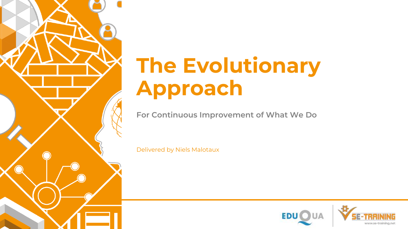

## **The Evolutionary Approach**

**For Continuous Improvement of What We Do**

Delivered by Niels Malotaux

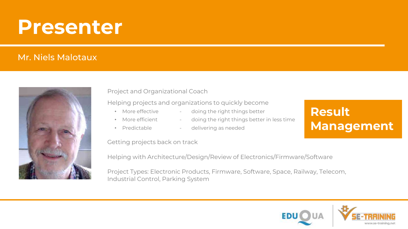### **Presenter**

#### Mr. Niels Malotaux



#### Project and Organizational Coach

#### Helping projects and organizations to quickly become

- 
- More effective doing the right things better
- 
- 
- More efficient doing the right things better in less time
	-
- Predictable delivering as needed

### **Result Management**

Getting projects back on track

Helping with Architecture/Design/Review of Electronics/Firmware/Software

Project Types: Electronic Products, Firmware, Software, Space, Railway, Telecom, Industrial Control, Parking System

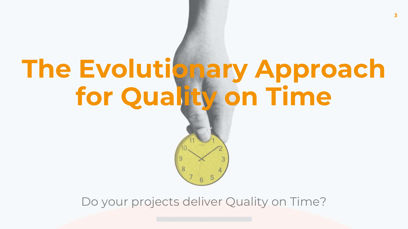# **The Evolutionary Approach for Quality on Time**

### Do your projects deliver Quality on Time?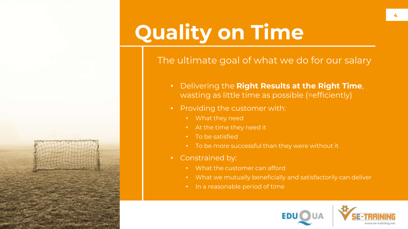

#### The ultimate goal of what we do for our salary

- Delivering the **Right Results at the Right Time**, wasting as little time as possible (=efficiently)
- Providing the customer with:
	- What they need
	- At the time they need it
	- To be satisfied
	- To be more successful than they were without it
- Constrained by:
	- What the customer can afford
	- What we mutually beneficially and satisfactorily can deliver
	- In a reasonable period of time

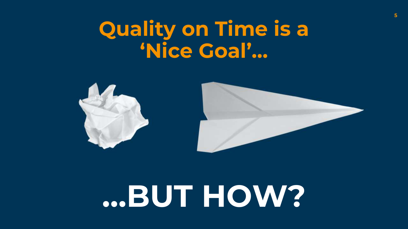## **Quality on Time is a 'Nice Goal'…**



# **…BUT HOW?**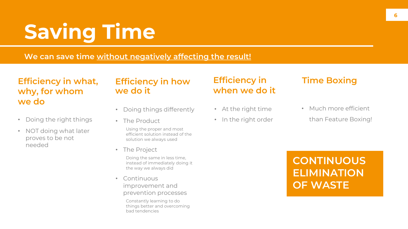## **Saving Time**

**We can save time without negatively affecting the result!** 

#### **Efficiency in what, why, for whom we do**

- Doing the right things
- NOT doing what later proves to be not needed

#### **Efficiency in how we do it**

- Doing things differently
- The Product
	- Using the proper and most efficient solution instead of the solution we always used
- The Project

Doing the same in less time, instead of immediately doing it the way we always did

• Continuous improvement and prevention processes

> Constantly learning to do things better and overcoming bad tendencies

### **Efficiency in when we do it**

- At the right time
- In the right order

### **Time Boxing**

- Much more efficient
	- than Feature Boxing!

### **CONTINUOUS ELIMINATION OF WASTE**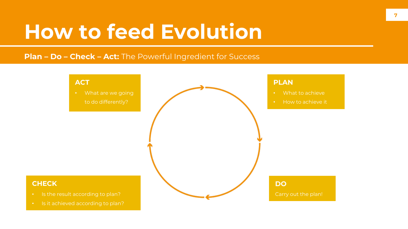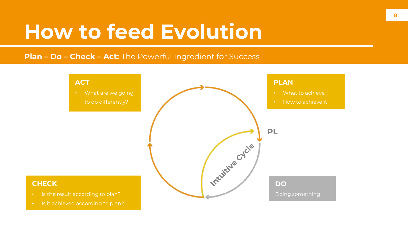#### **Plan – Do – Check – Act:** The Powerful Ingredient for Success



#### **CHECK**

- Is the result according to plan?
- Is it achieved according to plan?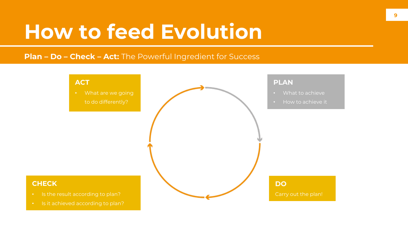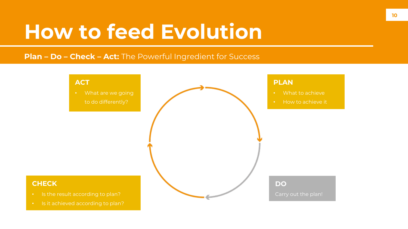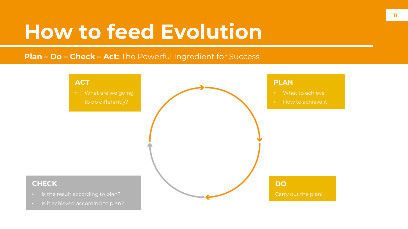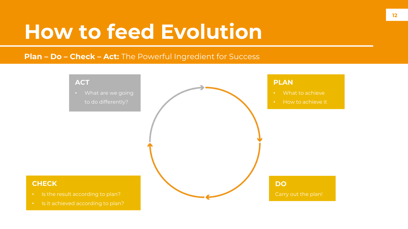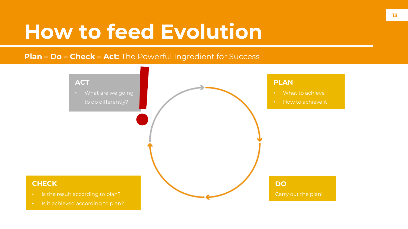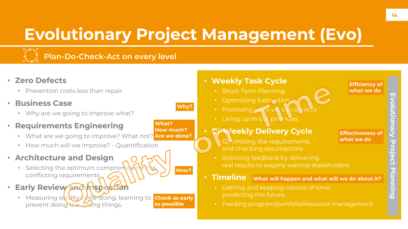### **Evolutionary Project Management (Evo)**

**Why?**

**How?**

**What?** 

**How much?** 



### **Plan-Do-Check-Act on every level**

- **Zero Defects**
	- Prevention costs less than repair
- **Business Case**
	- Why are we going to improve what?
- **Requirements Engineering**
	- What are we going to improve? What not? **Are we done?**
	- How much will we improve? Quantification
- **Architecture and Design**
	- Selecting the optimum compromise conflicting requirements
- **Early Review and Inspe** 
	- Measuring quality while doing, learning to **Check as early** prevent doing the wrong things. **as possible**

#### • **Weekly Task Cycle**  • Short-Term Planning • Optimising Estimation • Promising what we can achieve

**Living up to out promises** 

#### • **Bi-Weekly Delivery Cycle**

**Effectiveness of what we do**

**Efficiency of what we do**

- Optimising the requirements and checking assumptions
- Soliciting feedback by delivering real results to eagerly waiting stakeholders
- **What will happen and what will we do about it?** • **Timeline**
	- Getting and keeping control of time: predicting the future
	- Feeding program/portfolio/resource management

**Evolutionary Project Planning**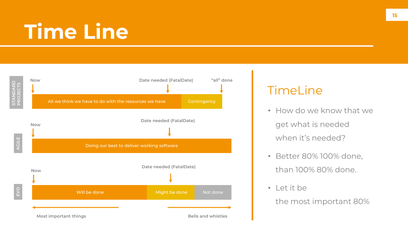## **Time Line**



### TimeLine

- How do we know that we get what is needed when it's needed?
- Better 80% 100% done, than 100% 80% done.
- Let it be

the most important 80%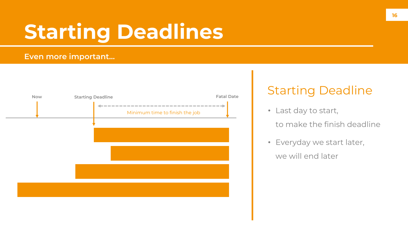## **Starting Deadlines**

#### **Even more important…**



### Starting Deadline

- Last day to start,
	- to make the finish deadline
- Everyday we start later,

#### we will end later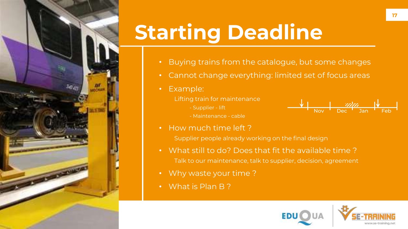

## **Starting Deadline**

- Buying trains from the catalogue, but some changes
- Cannot change everything: limited set of focus areas
- Example:
	- Lifting train for maintenance
		- Supplier lift



- Maintenance cable
- How much time left ?

Supplier people already working on the final design

- What still to do? Does that fit the available time ? Talk to our maintenance, talk to supplier, decision, agreement
- Why waste your time ?
- What is Plan B ?

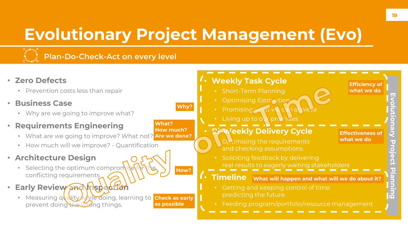### **Evolutionary Project Management (Evo)**

**Why?**

**How?**

**What?** 

**How much?** 



### **Plan-Do-Check-Act on every level**

- **Zero Defects**
	- Prevention costs less than repair
- **Business Case**
	- Why are we going to improve what?
- **Requirements Engineering**
	- What are we going to improve? What not? **Are we done?**
	- How much will we improve? Quantification
- **Architecture Design**
	- Selecting the optimum comprom conflicting requirements
- **Early Review and Inspect** 
	- Measuring quality while doing, learning to **Check as early** prevent doing the wrong things. **as possible**

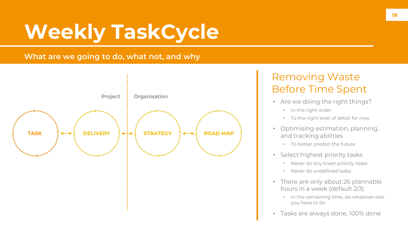## **Weekly TaskCycle**

#### **What are we going to do, what not, and why**



### Removing Waste Before Time Spent

- Are we doing the right things?
	- In the right order
	- To the right level of detail for now
- Optimising estimation, planning, and tracking abilities
	- To better predict the future
- Select highest priority tasks
	- Never do any lower priority tasks
	- Never do undefined tasks
- There are only about 26 plannable hours in a week (default 2/3)
	- In the remaining time, do whatever else you have to do
- Tasks are always done, 100% done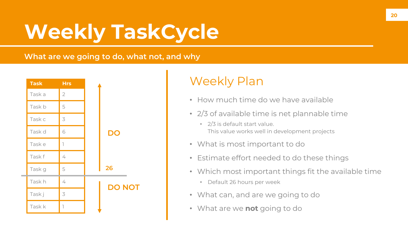## **Weekly TaskCycle**

#### **What are we going to do, what not, and why**



### Weekly Plan

- How much time do we have available
- 2/3 of available time is net plannable time
	- 2/3 is default start value. This value works well in development projects
- What is most important to do
- Estimate effort needed to do these things
- Which most important things fit the available time
	- Default 26 hours per week
- What can, and are we going to do
- What are we **not** going to do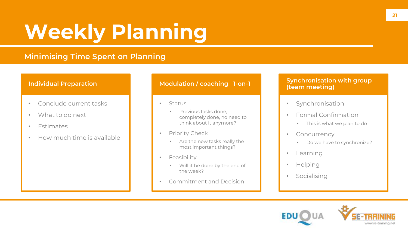## **Weekly Planning**

#### **Minimising Time Spent on Planning**

#### **Individual Preparation**

- Conclude current tasks
- What to do next
- Estimates
- How much time is available

#### **Modulation / coaching 1-on-1**

- Status
	- Previous tasks done, completely done, no need to think about it anymore?
- Priority Check
	- Are the new tasks really the most important things?
- Feasibility
	- Will it be done by the end of the week?
- Commitment and Decision

#### **Synchronisation with group (team meeting)**

- Synchronisation
- Formal Confirmation
	- This is what we plan to do
- Concurrency
	- Do we have to synchronize?
- Learning
- Helping
- Socialising

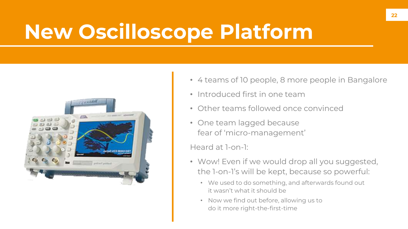## **New Oscilloscope Platform**



- 4 teams of 10 people, 8 more people in Bangalore
- Introduced first in one team
- Other teams followed once convinced
- One team lagged because fear of 'micro-management'

Heard at 1-on-1:

- Wow! Even if we would drop all you suggested, the 1-on-1's will be kept, because so powerful:
	- We used to do something, and afterwards found out it wasn't what it should be
	- Now we find out before, allowing us to do it more right-the-first-time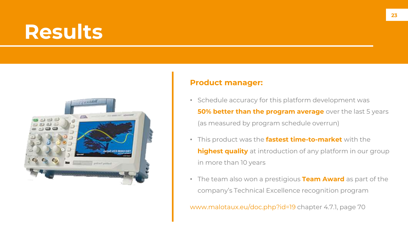### **Results**



#### **Product manager:**

- Schedule accuracy for this platform development was **50% better than the program average** over the last 5 years (as measured by program schedule overrun)
- This product was the **fastest time-to-market** with the **highest quality** at introduction of any platform in our group in more than 10 years
- The team also won a prestigious **Team Award** as part of the company's Technical Excellence recognition program

www.malotaux.eu/doc.php?id=19 chapter 4.7.1, page 70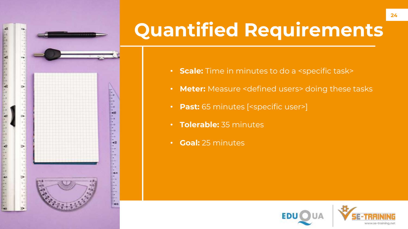

E I

 $\rightarrow$ 

 $-42$ 

## **Quantified Requirements**

- **Scale:** Time in minutes to do a <specific task>
- **Meter:** Measure <defined users> doing these tasks
- **Past:** 65 minutes [<specific user>]
- **Tolerable:** 35 minutes
- **Goal:** 25 minutes

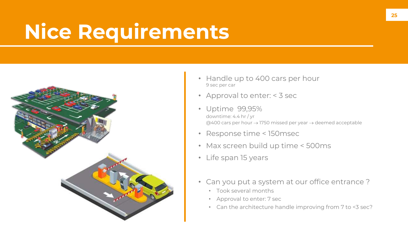## **Nice Requirements**



- Handle up to 400 cars per hour 9 sec per car
- Approval to enter: < 3 sec
- Uptime 99,95% downtime: 4.4 hr / yr @400 cars per hour → 1750 missed per year → deemed acceptable
- Response time < 150msec
- Max screen build up time < 500ms
- Life span 15 years
- Can you put a system at our office entrance ?
	- Took several months
	- Approval to enter: 7 sec
	- Can the architecture handle improving from 7 to <3 sec?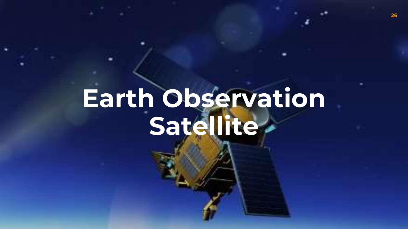# **Earth Observation Satellite**

**26**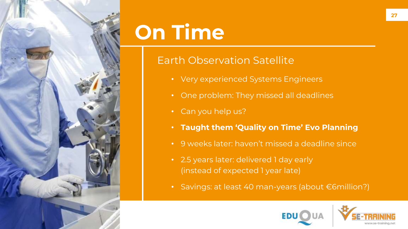

## **On Time**

### Earth Observation Satellite

- Very experienced Systems Engineers
- One problem: They missed all deadlines
- Can you help us?
- **Taught them 'Quality on Time' Evo Planning**
- 9 weeks later: haven't missed a deadline since
- 2.5 years later: delivered 1 day early (instead of expected 1 year late)
- Savings: at least 40 man-years (about €6million?)

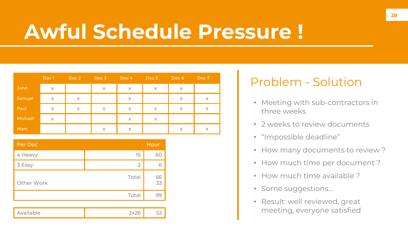## **Awful Schedule Pressure !**

|             | Doc 1        | Doc 2        | Doc 3 | Doc <sub>4</sub> | Doc <sub>5</sub> | Doc <sub>6</sub> | Doc 7        |
|-------------|--------------|--------------|-------|------------------|------------------|------------------|--------------|
| <b>John</b> | $\mathsf{X}$ |              | X     | X                | $\times$         | X                |              |
| Samuel      | $\chi$       | $\mathsf{X}$ |       | $\times$         |                  | $\times$         | $\mathsf{X}$ |
| Paul        | $\times$     | $\times$     | X     | $\times$         | $\times$         | $\times$         | $\mathsf{X}$ |
| Michael     | X            |              |       | X                | $\times$         |                  |              |
| Marc        |              |              | X     | X                |                  | $\times$         | $\times$     |

| Per Doc    |                | Hour     |
|------------|----------------|----------|
| 4 Heavy    | 15             | 60       |
| 3 Easy     | $\overline{2}$ | 6        |
| Other Work | Total          | 66<br>33 |
|            | Total          | 99       |
|            |                |          |
| Available  | 2x26           | 52       |

### Problem - Solution

- Meeting with sub-contractors in three weeks
- 2 weeks to review documents
- "Impossible deadline"
- How many documents to review?
- How much time per document ?
- How much time available ?
- Some suggestions…
- Result: well reviewed, great meeting, everyone satisfied